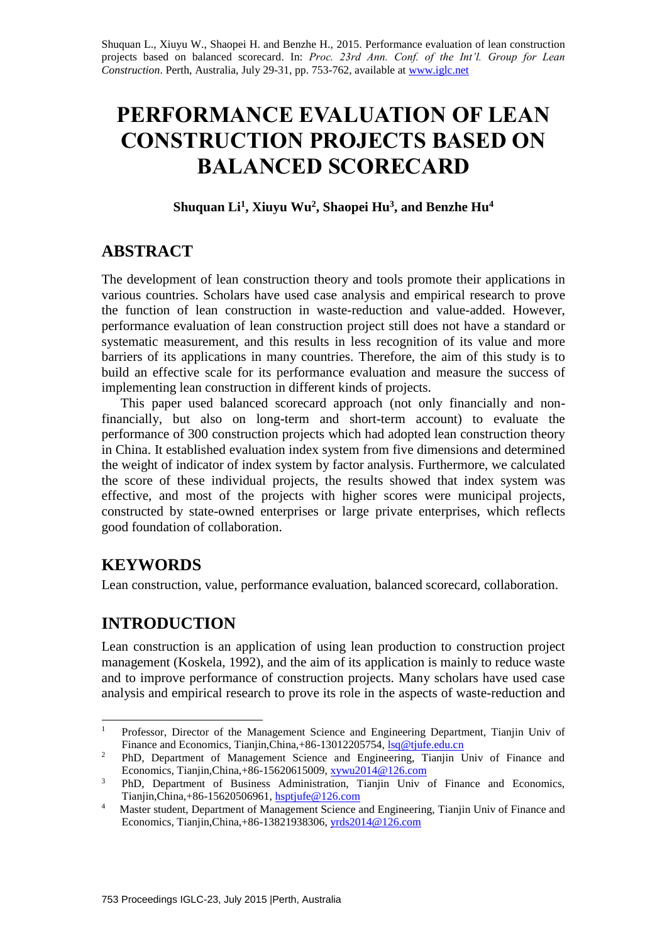Shuquan L., Xiuyu W., Shaopei H. and Benzhe H., 2015. Performance evaluation of lean construction projects based on balanced scorecard. In: *Proc. 23rd Ann. Conf. of the Int'l. Group for Lean Construction*. Perth, Australia, July 29-31, pp. 753-762, available at [www.iglc.net](http://www.iglc.net/)

# **PERFORMANCE EVALUATION OF LEAN CONSTRUCTION PROJECTS BASED ON BALANCED SCORECARD**

### **Shuquan Li<sup>1</sup> , Xiuyu Wu<sup>2</sup> , Shaopei Hu<sup>3</sup> , and Benzhe Hu<sup>4</sup>**

### **ABSTRACT**

The development of lean construction theory and tools promote their applications in various countries. Scholars have used case analysis and empirical research to prove the function of lean construction in waste-reduction and value-added. However, performance evaluation of lean construction project still does not have a standard or systematic measurement, and this results in less recognition of its value and more barriers of its applications in many countries. Therefore, the aim of this study is to build an effective scale for its performance evaluation and measure the success of implementing lean construction in different kinds of projects.

This paper used balanced scorecard approach (not only financially and nonfinancially, but also on long-term and short-term account) to evaluate the performance of 300 construction projects which had adopted lean construction theory in China. It established evaluation index system from five dimensions and determined the weight of indicator of index system by factor analysis. Furthermore, we calculated the score of these individual projects, the results showed that index system was effective, and most of the projects with higher scores were municipal projects, constructed by state-owned enterprises or large private enterprises, which reflects good foundation of collaboration.

# **KEYWORDS**

Lean construction, value, performance evaluation, balanced scorecard, collaboration.

# **INTRODUCTION**

Lean construction is an application of using lean production to construction project management (Koskela, 1992), and the aim of its application is mainly to reduce waste and to improve performance of construction projects. Many scholars have used case analysis and empirical research to prove its role in the aspects of waste-reduction and

 $\mathbf{1}$ <sup>1</sup> Professor, Director of the Management Science and Engineering Department, Tianjin Univ of Finance and Economics, Tianjin,China,+86-13012205754, [lsq@tjufe.edu.cn](mailto:lsq@tjufe.edu.cn)

<sup>&</sup>lt;sup>2</sup> PhD, Department of Management Science and Engineering, Tianjin Univ of Finance and Economics, Tianjin,China,+86-15620615009, [xywu2014@126.com](mailto:xywu2014@126.com)

<sup>&</sup>lt;sup>3</sup> PhD, Department of Business Administration, Tianjin Univ of Finance and Economics, Tianjin,China,+86-15620506961[, hsptjufe@126.com](mailto:hsptjufe@126.com)

<sup>4</sup> Master student, Department of Management Science and Engineering, Tianjin Univ of Finance and Economics, Tianjin,China,+86-13821938306, [yrds2014@126.com](mailto:yrds2014@126.com)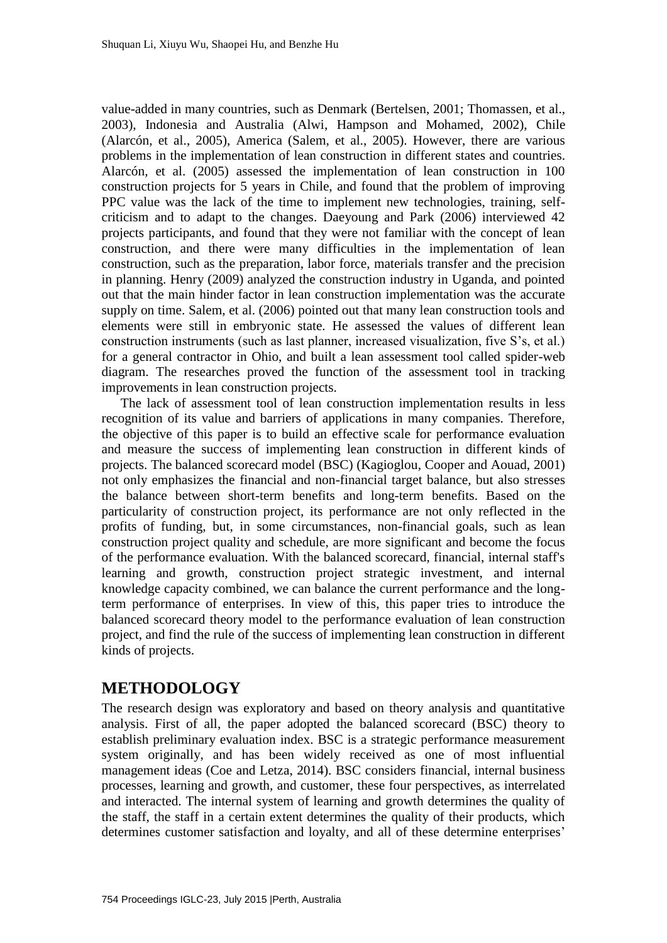value-added in many countries, such as Denmark (Bertelsen, 2001; Thomassen, et al., 2003), Indonesia and Australia (Alwi, Hampson and Mohamed, 2002), Chile (Alarcón, et al., 2005), America (Salem, et al., 2005). However, there are various problems in the implementation of lean construction in different states and countries. Alarcón, et al. (2005) assessed the implementation of lean construction in 100 construction projects for 5 years in Chile, and found that the problem of improving PPC value was the lack of the time to implement new technologies, training, selfcriticism and to adapt to the changes. Daeyoung and Park (2006) interviewed 42 projects participants, and found that they were not familiar with the concept of lean construction, and there were many difficulties in the implementation of lean construction, such as the preparation, labor force, materials transfer and the precision in planning. Henry (2009) analyzed the construction industry in Uganda, and pointed out that the main hinder factor in lean construction implementation was the accurate supply on time. Salem, et al. (2006) pointed out that many lean construction tools and elements were still in embryonic state. He assessed the values of different lean construction instruments (such as last planner, increased visualization, five S's, et al.) for a general contractor in Ohio, and built a lean assessment tool called spider-web diagram. The researches proved the function of the assessment tool in tracking improvements in lean construction projects.

The lack of assessment tool of lean construction implementation results in less recognition of its value and barriers of applications in many companies. Therefore, the objective of this paper is to build an effective scale for performance evaluation and measure the success of implementing lean construction in different kinds of projects. The balanced scorecard model (BSC) (Kagioglou, Cooper and Aouad, 2001) not only emphasizes the financial and non-financial target balance, but also stresses the balance between short-term benefits and long-term benefits. Based on the particularity of construction project, its performance are not only reflected in the profits of funding, but, in some circumstances, non-financial goals, such as lean construction project quality and schedule, are more significant and become the focus of the performance evaluation. With the balanced scorecard, financial, internal staff's learning and growth, construction project strategic investment, and internal knowledge capacity combined, we can balance the current performance and the longterm performance of enterprises. In view of this, this paper tries to introduce the balanced scorecard theory model to the performance evaluation of lean construction project, and find the rule of the success of implementing lean construction in different kinds of projects.

### **METHODOLOGY**

The research design was exploratory and based on theory analysis and quantitative analysis. First of all, the paper adopted the balanced scorecard (BSC) theory to establish preliminary evaluation index. BSC is a strategic performance measurement system originally, and has been widely received as one of most influential management ideas (Coe and Letza, 2014). BSC considers financial, internal business processes, learning and growth, and customer, these four perspectives, as interrelated and interacted. The internal system of learning and growth determines the quality of the staff, the staff in a certain extent determines the quality of their products, which determines customer satisfaction and loyalty, and all of these determine enterprises'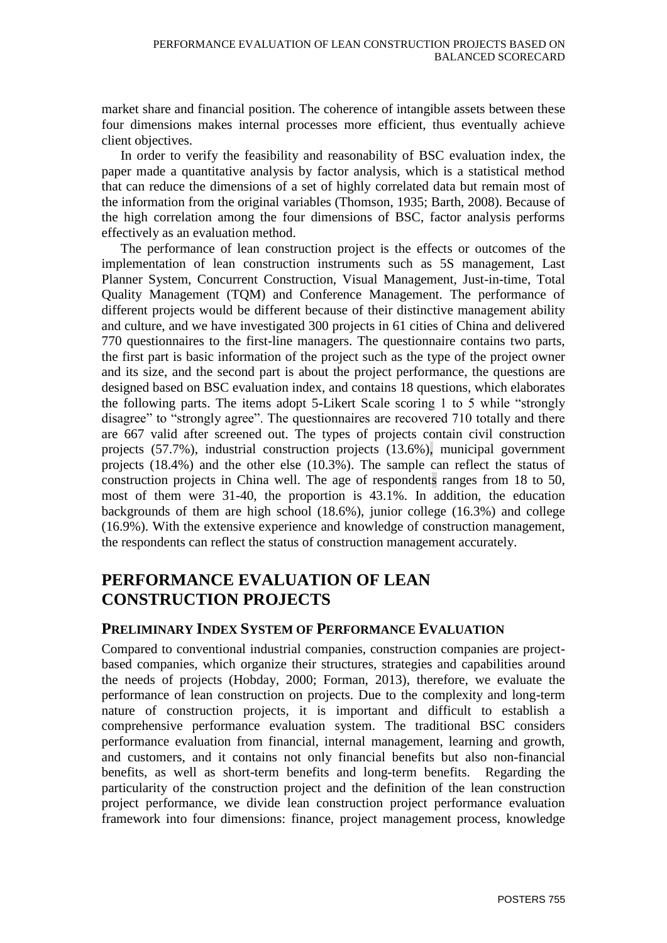market share and financial position. The coherence of intangible assets between these four dimensions makes internal processes more efficient, thus eventually achieve client objectives.

In order to verify the feasibility and reasonability of BSC evaluation index, the paper made a quantitative analysis by factor analysis, which is a statistical method that can reduce the dimensions of a set of highly correlated data but remain most of the information from the original variables (Thomson, 1935; Barth, 2008). Because of the high correlation among the four dimensions of BSC, factor analysis performs effectively as an evaluation method.

The performance of lean construction project is the effects or outcomes of the implementation of lean construction instruments such as 5S management, Last Planner System, Concurrent Construction, Visual Management, Just-in-time, Total Quality Management (TQM) and Conference Management. The performance of different projects would be different because of their distinctive management ability and culture, and we have investigated 300 projects in 61 cities of China and delivered 770 questionnaires to the first-line managers. The questionnaire contains two parts, the first part is basic information of the project such as the type of the project owner and its size, and the second part is about the project performance, the questions are designed based on BSC evaluation index, and contains 18 questions, which elaborates the following parts. The items adopt 5-Likert Scale scoring 1 to 5 while "strongly disagree" to "strongly agree". The questionnaires are recovered 710 totally and there are 667 valid after screened out. The types of projects contain civil construction projects (57.7%), industrial construction projects (13.6%), municipal government projects (18.4%) and the other else (10.3%). The sample can reflect the status of construction projects in China well. The age of respondents ranges from 18 to 50, most of them were 31-40, the proportion is 43.1%. In addition, the education backgrounds of them are high school (18.6%), junior college (16.3%) and college (16.9%). With the extensive experience and knowledge of construction management, the respondents can reflect the status of construction management accurately.

## **PERFORMANCE EVALUATION OF LEAN CONSTRUCTION PROJECTS**

#### **PRELIMINARY INDEX SYSTEM OF PERFORMANCE EVALUATION**

Compared to conventional industrial companies, construction companies are projectbased companies, which organize their structures, strategies and capabilities around the needs of projects (Hobday, 2000; Forman, 2013), therefore, we evaluate the performance of lean construction on projects. Due to the complexity and long-term nature of construction projects, it is important and difficult to establish a comprehensive performance evaluation system. The traditional BSC considers performance evaluation from financial, internal management, learning and growth, and customers, and it contains not only financial benefits but also non-financial benefits, as well as short-term benefits and long-term benefits. Regarding the particularity of the construction project and the definition of the lean construction project performance, we divide lean construction project performance evaluation framework into four dimensions: finance, project management process, knowledge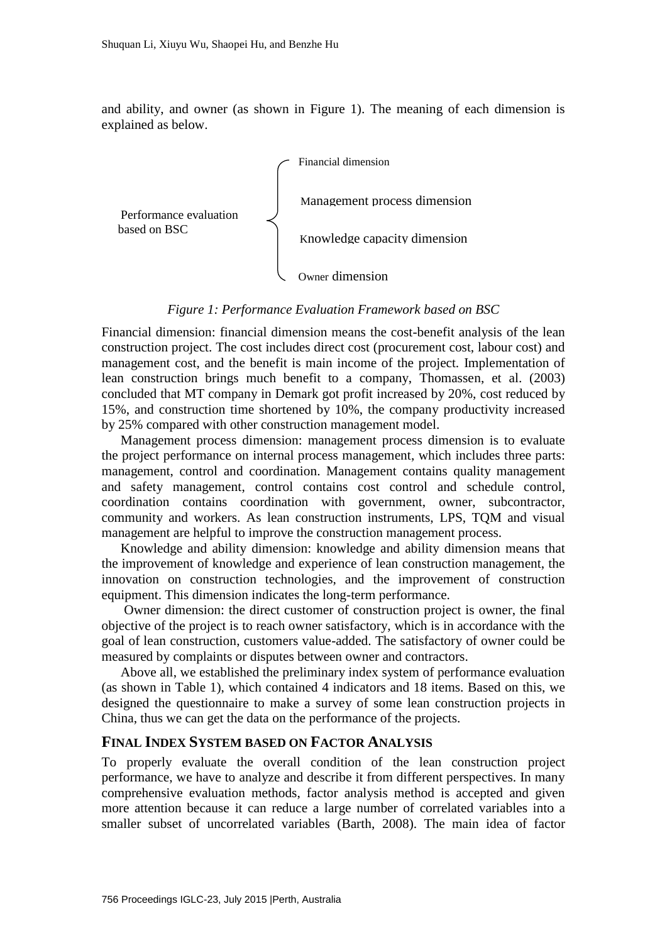and ability, and owner (as shown in Figure 1). The meaning of each dimension is explained as below.



#### *Figure 1: Performance Evaluation Framework based on BSC*

Financial dimension: financial dimension means the cost-benefit analysis of the lean construction project. The cost includes direct cost (procurement cost, labour cost) and management cost, and the benefit is main income of the project. Implementation of lean construction brings much benefit to a company, Thomassen, et al. (2003) concluded that MT company in Demark got profit increased by 20%, cost reduced by 15%, and construction time shortened by 10%, the company productivity increased by 25% compared with other construction management model.

Management process dimension: management process dimension is to evaluate the project performance on internal process management, which includes three parts: management, control and coordination. Management contains quality management and safety management, control contains cost control and schedule control, coordination contains coordination with government, owner, subcontractor, community and workers. As lean construction instruments, LPS, TQM and visual management are helpful to improve the construction management process.

Knowledge and ability dimension: knowledge and ability dimension means that the improvement of knowledge and experience of lean construction management, the innovation on construction technologies, and the improvement of construction equipment. This dimension indicates the long-term performance.

Owner dimension: the direct customer of construction project is owner, the final objective of the project is to reach owner satisfactory, which is in accordance with the goal of lean construction, customers value-added. The satisfactory of owner could be measured by complaints or disputes between owner and contractors.

Above all, we established the preliminary index system of performance evaluation (as shown in Table 1), which contained 4 indicators and 18 items. Based on this, we designed the questionnaire to make a survey of some lean construction projects in China, thus we can get the data on the performance of the projects.

#### **FINAL INDEX SYSTEM BASED ON FACTOR ANALYSIS**

To properly evaluate the overall condition of the lean construction project performance, we have to analyze and describe it from different perspectives. In many comprehensive evaluation methods, factor analysis method is accepted and given more attention because it can reduce a large number of correlated variables into a smaller subset of uncorrelated variables (Barth, 2008). The main idea of factor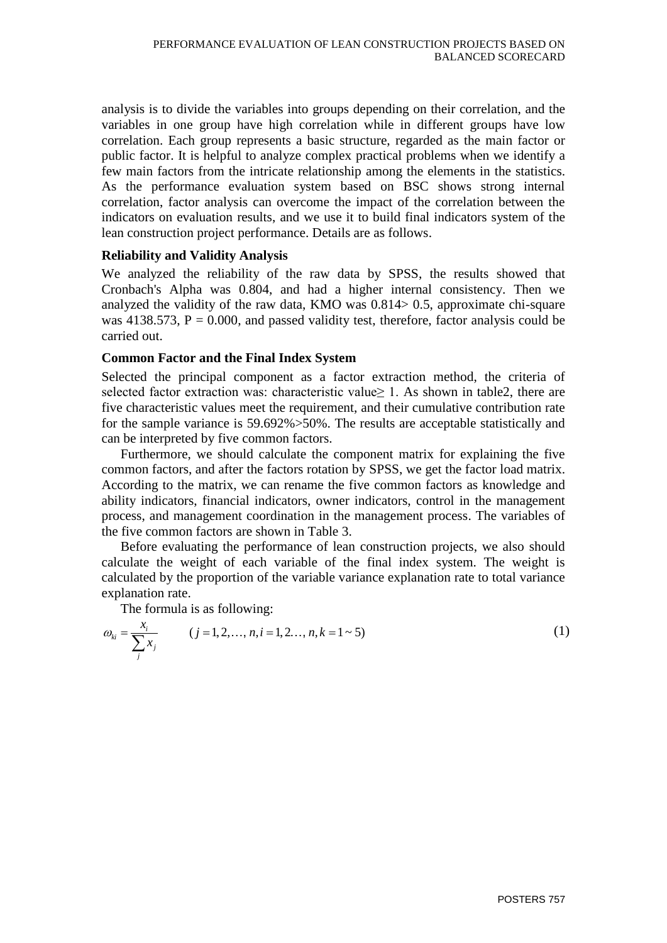analysis is to divide the variables into groups depending on their correlation, and the variables in one group have high correlation while in different groups have low correlation. Each group represents a basic structure, regarded as the main factor or public factor. It is helpful to analyze complex practical problems when we identify a few main factors from the intricate relationship among the elements in the statistics. As the performance evaluation system based on BSC shows strong internal correlation, factor analysis can overcome the impact of the correlation between the indicators on evaluation results, and we use it to build final indicators system of the lean construction project performance. Details are as follows.

#### **Reliability and Validity Analysis**

We analyzed the reliability of the raw data by SPSS, the results showed that Cronbach's Alpha was 0.804, and had a higher internal consistency. Then we analyzed the validity of the raw data, KMO was 0.814> 0.5, approximate chi-square was  $4138.573$ ,  $P = 0.000$ , and passed validity test, therefore, factor analysis could be carried out.

#### **Common Factor and the Final Index System**

Selected the principal component as a factor extraction method, the criteria of selected factor extraction was: characteristic value≥ 1. As shown in table2, there are five characteristic values meet the requirement, and their cumulative contribution rate for the sample variance is 59.692%>50%. The results are acceptable statistically and can be interpreted by five common factors.

Furthermore, we should calculate the component matrix for explaining the five common factors, and after the factors rotation by SPSS, we get the factor load matrix. According to the matrix, we can rename the five common factors as knowledge and ability indicators, financial indicators, owner indicators, control in the management process, and management coordination in the management process. The variables of the five common factors are shown in Table 3.

Before evaluating the performance of lean construction projects, we also should calculate the weight of each variable of the final index system. The weight is calculated by the proportion of the variable variance explanation rate to total variance explanation rate.

The formula is as following:  
\n
$$
\omega_{ki} = \frac{x_i}{\sum_{j}^{i} x_j}
$$
\n $(j = 1, 2, ..., n, i = 1, 2, ..., n, k = 1 - 5)$ \n(1)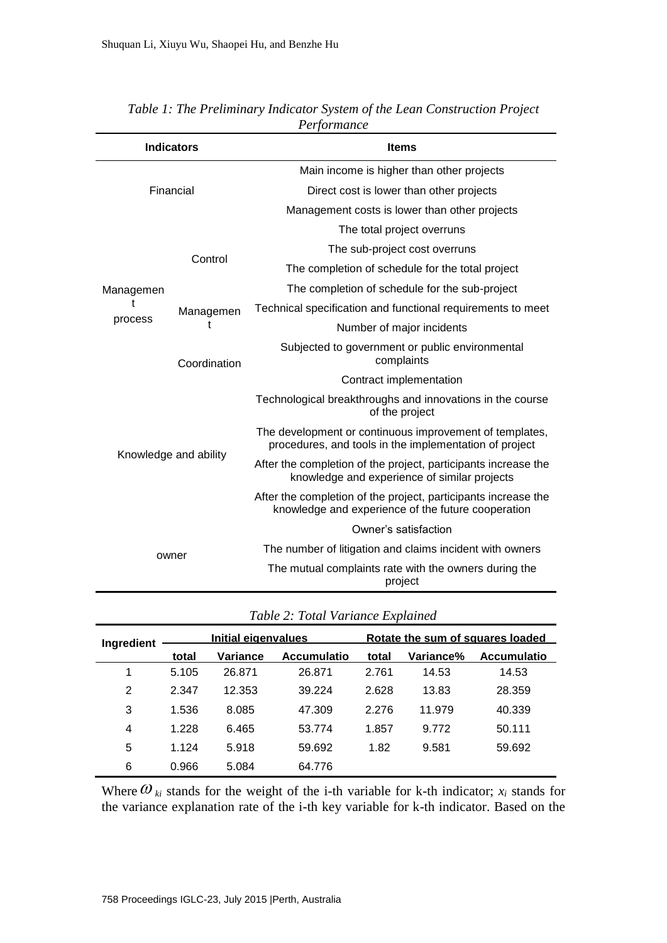| <b>Indicators</b>         |                | <b>Items</b>                                                                                                         |  |  |
|---------------------------|----------------|----------------------------------------------------------------------------------------------------------------------|--|--|
|                           |                | Main income is higher than other projects                                                                            |  |  |
| Financial                 |                | Direct cost is lower than other projects                                                                             |  |  |
|                           |                | Management costs is lower than other projects                                                                        |  |  |
|                           |                | The total project overruns                                                                                           |  |  |
| Managemen<br>t<br>process | Control        | The sub-project cost overruns                                                                                        |  |  |
|                           |                | The completion of schedule for the total project                                                                     |  |  |
|                           |                | The completion of schedule for the sub-project                                                                       |  |  |
|                           | Managemen<br>t | Technical specification and functional requirements to meet                                                          |  |  |
|                           |                | Number of major incidents                                                                                            |  |  |
|                           | Coordination   | Subjected to government or public environmental<br>complaints                                                        |  |  |
|                           |                | Contract implementation                                                                                              |  |  |
| Knowledge and ability     |                | Technological breakthroughs and innovations in the course<br>of the project                                          |  |  |
|                           |                | The development or continuous improvement of templates,<br>procedures, and tools in the implementation of project    |  |  |
|                           |                | After the completion of the project, participants increase the<br>knowledge and experience of similar projects       |  |  |
|                           |                | After the completion of the project, participants increase the<br>knowledge and experience of the future cooperation |  |  |
|                           |                | Owner's satisfaction                                                                                                 |  |  |
| owner                     |                | The number of litigation and claims incident with owners                                                             |  |  |
|                           |                | The mutual complaints rate with the owners during the<br>project                                                     |  |  |

*Table 1: The Preliminary Indicator System of the Lean Construction Project Performance*

*Table 2: Total Variance Explained*

| Ingredient | Initial eigenvalues |          |                    | Rotate the sum of squares loaded |           |                    |
|------------|---------------------|----------|--------------------|----------------------------------|-----------|--------------------|
|            | total               | Variance | <b>Accumulatio</b> | total                            | Variance% | <b>Accumulatio</b> |
| 1          | 5.105               | 26.871   | 26.871             | 2.761                            | 14.53     | 14.53              |
| 2          | 2.347               | 12.353   | 39.224             | 2.628                            | 13.83     | 28.359             |
| 3          | 1.536               | 8.085    | 47.309             | 2.276                            | 11.979    | 40.339             |
| 4          | 1.228               | 6.465    | 53.774             | 1.857                            | 9.772     | 50.111             |
| 5          | 1.124               | 5.918    | 59.692             | 1.82                             | 9.581     | 59.692             |
| 6          | 0.966               | 5.084    | 64.776             |                                  |           |                    |

Where  $\omega_{ki}$  stands for the weight of the i-th variable for k-th indicator;  $x_i$  stands for the variance explanation rate of the i-th key variable for k-th indicator. Based on the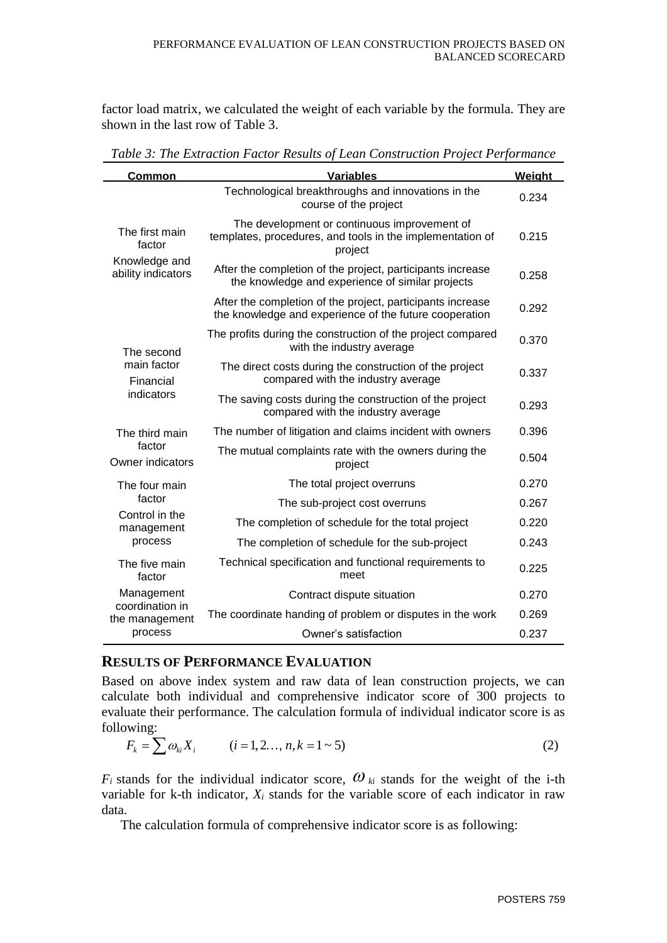factor load matrix, we calculated the weight of each variable by the formula. They are shown in the last row of Table 3.

| <b>Common</b>                                                   | <b>Variables</b>                                                                                                     | Weight |
|-----------------------------------------------------------------|----------------------------------------------------------------------------------------------------------------------|--------|
| The first main<br>factor<br>Knowledge and<br>ability indicators | Technological breakthroughs and innovations in the<br>course of the project                                          | 0.234  |
|                                                                 | The development or continuous improvement of<br>templates, procedures, and tools in the implementation of<br>project | 0.215  |
|                                                                 | After the completion of the project, participants increase<br>the knowledge and experience of similar projects       | 0.258  |
|                                                                 | After the completion of the project, participants increase<br>the knowledge and experience of the future cooperation | 0.292  |
| The second<br>main factor<br>Financial<br>indicators            | The profits during the construction of the project compared<br>with the industry average                             | 0.370  |
|                                                                 | The direct costs during the construction of the project<br>compared with the industry average                        | 0.337  |
|                                                                 | The saving costs during the construction of the project<br>compared with the industry average                        | 0.293  |
| The third main<br>factor<br>Owner indicators                    | The number of litigation and claims incident with owners                                                             | 0.396  |
|                                                                 | The mutual complaints rate with the owners during the<br>project                                                     | 0.504  |
| The four main                                                   | The total project overruns                                                                                           | 0.270  |
| factor                                                          | The sub-project cost overruns                                                                                        | 0.267  |
| Control in the<br>management<br>process                         | The completion of schedule for the total project                                                                     | 0.220  |
|                                                                 | The completion of schedule for the sub-project                                                                       | 0.243  |
| The five main<br>factor                                         | Technical specification and functional requirements to<br>meet                                                       | 0.225  |
| Management<br>coordination in<br>the management<br>process      | Contract dispute situation                                                                                           | 0.270  |
|                                                                 | The coordinate handing of problem or disputes in the work                                                            | 0.269  |
|                                                                 | Owner's satisfaction                                                                                                 | 0.237  |

*Table 3: The Extraction Factor Results of Lean Construction Project Performance*

### **RESULTS OF PERFORMANCE EVALUATION**

Based on above index system and raw data of lean construction projects, we can calculate both individual and comprehensive indicator score of 300 projects to evaluate their performance. The calculation formula of individual indicator score is as following:

owing:  
\n
$$
F_k = \sum \omega_{ki} X_i
$$
  $(i = 1, 2, ..., n, k = 1 - 5)$  (2)

 $F_i$  stands for the individual indicator score,  $\omega_{ki}$  stands for the weight of the i-th variable for k-th indicator,  $X_i$  stands for the variable score of each indicator in raw data.

The calculation formula of comprehensive indicator score is as following: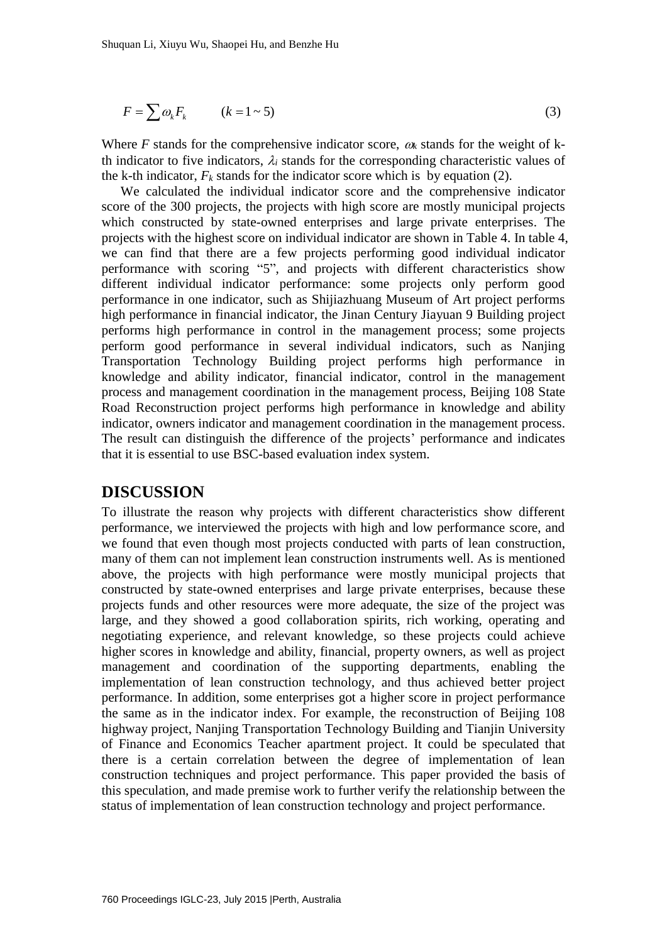$$
F = \sum \omega_k F_k \qquad (k = 1 \sim 5)
$$

Where *F* stands for the comprehensive indicator score,  $\omega_k$  stands for the weight of kth indicator to five indicators,  $\lambda_i$  stands for the corresponding characteristic values of the k-th indicator,  $F_k$  stands for the indicator score which is by equation (2).

We calculated the individual indicator score and the comprehensive indicator score of the 300 projects, the projects with high score are mostly municipal projects which constructed by state-owned enterprises and large private enterprises. The projects with the highest score on individual indicator are shown in Table 4. In table 4, we can find that there are a few projects performing good individual indicator performance with scoring "5", and projects with different characteristics show different individual indicator performance: some projects only perform good performance in one indicator, such as Shijiazhuang Museum of Art project performs high performance in financial indicator, the Jinan Century Jiayuan 9 Building project performs high performance in control in the management process; some projects perform good performance in several individual indicators, such as Nanjing Transportation Technology Building project performs high performance in knowledge and ability indicator, financial indicator, control in the management process and management coordination in the management process, Beijing 108 State Road Reconstruction project performs high performance in knowledge and ability indicator, owners indicator and management coordination in the management process. The result can distinguish the difference of the projects' performance and indicates that it is essential to use BSC-based evaluation index system.

#### **DISCUSSION**

 $F = \sum \omega_k F_k$  ( $k = 1 - 5$ )<br>
Where F stands for the comprehensive indic th indicator to five indicators,  $\lambda_i$  stands for the k-th indicator,  $F_k$  stands for the indicator we calculated the individual indicator wore of the 30 To illustrate the reason why projects with different characteristics show different performance, we interviewed the projects with high and low performance score, and we found that even though most projects conducted with parts of lean construction, many of them can not implement lean construction instruments well. As is mentioned above, the projects with high performance were mostly municipal projects that constructed by state-owned enterprises and large private enterprises, because these projects funds and other resources were more adequate, the size of the project was large, and they showed a good collaboration spirits, rich working, operating and negotiating experience, and relevant knowledge, so these projects could achieve higher scores in knowledge and ability, financial, property owners, as well as project management and coordination of the supporting departments, enabling the implementation of lean construction technology, and thus achieved better project performance. In addition, some enterprises got a higher score in project performance the same as in the indicator index. For example, the reconstruction of Beijing 108 highway project, Nanjing Transportation Technology Building and Tianjin University of Finance and Economics Teacher apartment project. It could be speculated that there is a certain correlation between the degree of implementation of lean construction techniques and project performance. This paper provided the basis of this speculation, and made premise work to further verify the relationship between the status of implementation of lean construction technology and project performance.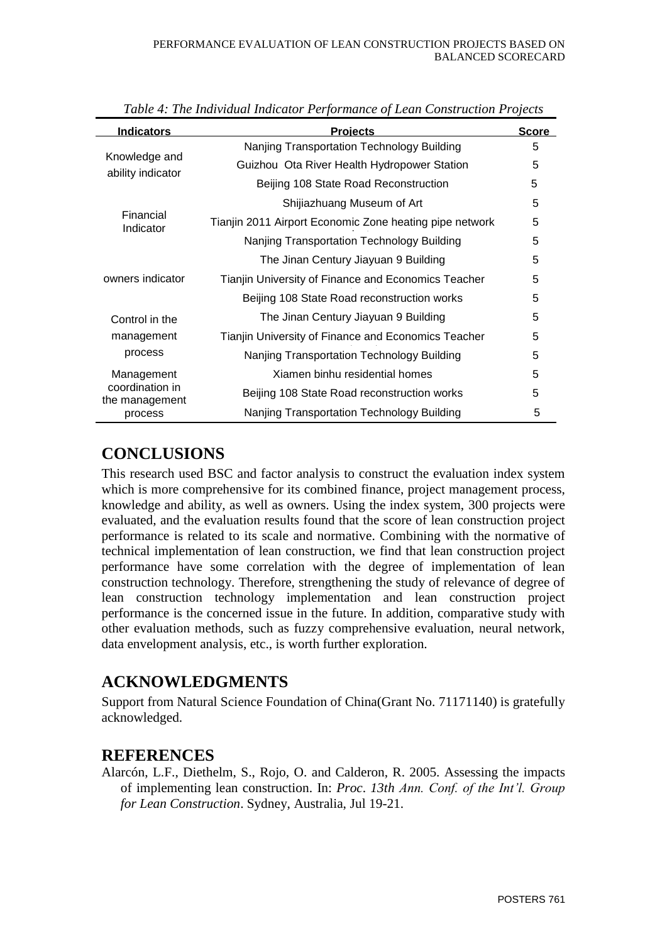| <b>Indicators</b>                  | <b>Projects</b>                                         | <b>Score</b> |
|------------------------------------|---------------------------------------------------------|--------------|
|                                    | Nanjing Transportation Technology Building              | 5            |
| Knowledge and<br>ability indicator | Guizhou Ota River Health Hydropower Station             | 5            |
|                                    | Beijing 108 State Road Reconstruction                   | 5            |
|                                    | Shijiazhuang Museum of Art                              | 5            |
| Financial<br>Indicator             | Tianjin 2011 Airport Economic Zone heating pipe network | 5            |
|                                    | Nanjing Transportation Technology Building              | 5            |
|                                    | The Jinan Century Jiayuan 9 Building                    | 5            |
| owners indicator                   | Tianjin University of Finance and Economics Teacher     | 5            |
|                                    | Beijing 108 State Road reconstruction works             | 5            |
| Control in the                     | The Jinan Century Jiayuan 9 Building                    | 5            |
| management<br>process              | Tianjin University of Finance and Economics Teacher     | 5            |
|                                    | Nanjing Transportation Technology Building              | 5            |
| Management                         | Xiamen binhu residential homes                          | 5            |
| coordination in<br>the management  | Beijing 108 State Road reconstruction works             | 5            |
| process                            | Nanjing Transportation Technology Building              | 5            |

*Table 4: The Individual Indicator Performance of Lean Construction Projects*

### **CONCLUSIONS**

This research used BSC and factor analysis to construct the evaluation index system which is more comprehensive for its combined finance, project management process, knowledge and ability, as well as owners. Using the index system, 300 projects were evaluated, and the evaluation results found that the score of lean construction project performance is related to its scale and normative. Combining with the normative of technical implementation of lean construction, we find that lean construction project performance have some correlation with the degree of implementation of lean construction technology. Therefore, strengthening the study of relevance of degree of lean construction technology implementation and lean construction project performance is the concerned issue in the future. In addition, comparative study with other evaluation methods, such as fuzzy comprehensive evaluation, neural network, data envelopment analysis, etc., is worth further exploration.

# **ACKNOWLEDGMENTS**

Support from Natural Science Foundation of China(Grant No. 71171140) is gratefully acknowledged.

### **REFERENCES**

Alarcón, L.F., Diethelm, S., Rojo, O. and Calderon, R. 2005. Assessing the impacts of implementing lean construction. In: *Proc*. *13th Ann. Conf. of the Int'l. Group for Lean Construction*. Sydney, Australia, Jul 19-21.